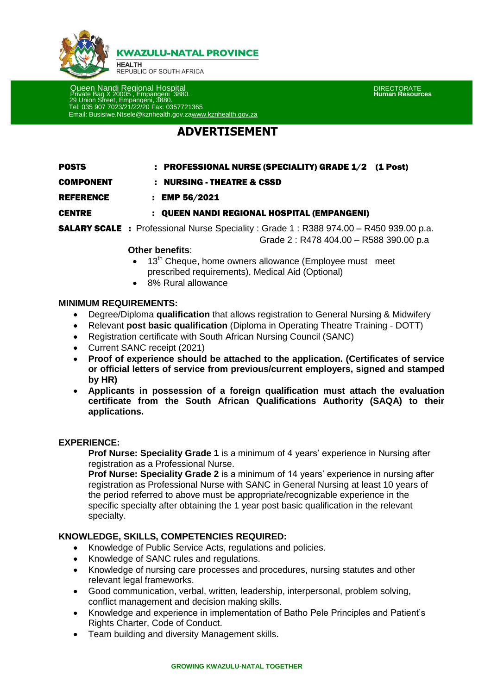

**KWAZULU-NATAL PROVINCE** 

**HEALTH** REPUBLIC OF SOUTH AFRICA

 Queen Nandi Regional Hospital DIRECTORATE Private Bag X 20005 , Empangeni 3880. **Human Resources** 29 Union Street, Empangeni, 3880. Tel: 035 907 7023/21/22/20 Fax: 0357721365 Email: Busisiwe.Ntsele@kznhealth.gov.z[awww.kznhealth.gov.za](http://www.kznhealth.gov.za/)

# **ADVERTISEMENT**

# POSTS : PROFESSIONAL NURSE (SPECIALITY) GRADE 1/2 (1 Post)

COMPONENT : NURSING - THEATRE & CSSD

REFERENCE : EMP 56/2021

## CENTRE : QUEEN NANDI REGIONAL HOSPITAL (EMPANGENI)

**SALARY SCALE** : Professional Nurse Speciality : Grade 1 : R388 974.00 – R450 939.00 p.a. Grade 2 : R478 404.00 – R588 390.00 p.a

## **Other benefits**:

- $\bullet$  13<sup>th</sup> Cheque, home owners allowance (Employee must meet prescribed requirements), Medical Aid (Optional)
- 8% Rural allowance

## **MINIMUM REQUIREMENTS:**

- Degree/Diploma **qualification** that allows registration to General Nursing & Midwifery
- Relevant **post basic qualification** (Diploma in Operating Theatre Training DOTT)
- Registration certificate with South African Nursing Council (SANC)
- Current SANC receipt (2021)
- **Proof of experience should be attached to the application. (Certificates of service or official letters of service from previous/current employers, signed and stamped by HR)**
- **Applicants in possession of a foreign qualification must attach the evaluation certificate from the South African Qualifications Authority (SAQA) to their applications.**

## **EXPERIENCE:**

**Prof Nurse: Speciality Grade 1** is a minimum of 4 years' experience in Nursing after registration as a Professional Nurse.

**Prof Nurse: Speciality Grade 2** is a minimum of 14 years' experience in nursing after registration as Professional Nurse with SANC in General Nursing at least 10 years of the period referred to above must be appropriate/recognizable experience in the specific specialty after obtaining the 1 year post basic qualification in the relevant specialty.

## **KNOWLEDGE, SKILLS, COMPETENCIES REQUIRED:**

- Knowledge of Public Service Acts, regulations and policies.
- Knowledge of SANC rules and regulations.
- Knowledge of nursing care processes and procedures, nursing statutes and other relevant legal frameworks.
- Good communication, verbal, written, leadership, interpersonal, problem solving, conflict management and decision making skills.
- Knowledge and experience in implementation of Batho Pele Principles and Patient's Rights Charter, Code of Conduct.
- Team building and diversity Management skills.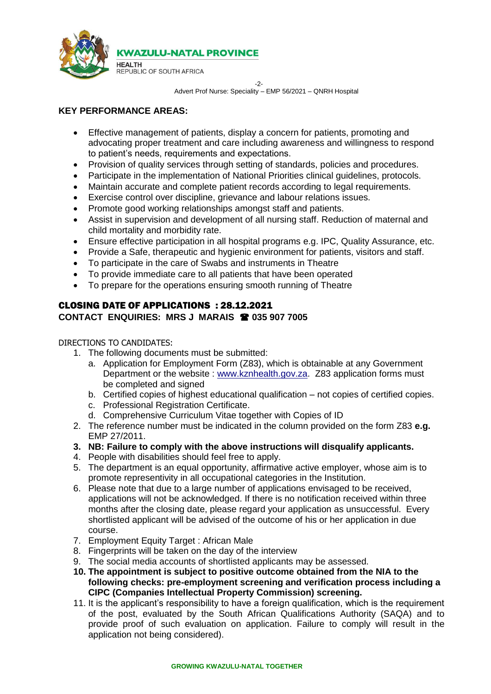

-2- Advert Prof Nurse: Speciality – EMP 56/2021 – QNRH Hospital

# **KEY PERFORMANCE AREAS:**

- Effective management of patients, display a concern for patients, promoting and advocating proper treatment and care including awareness and willingness to respond to patient's needs, requirements and expectations.
- Provision of quality services through setting of standards, policies and procedures.
- Participate in the implementation of National Priorities clinical guidelines, protocols.
- Maintain accurate and complete patient records according to legal requirements.
- Exercise control over discipline, grievance and labour relations issues.
- Promote good working relationships amongst staff and patients.
- Assist in supervision and development of all nursing staff. Reduction of maternal and child mortality and morbidity rate.
- Ensure effective participation in all hospital programs e.g. IPC, Quality Assurance, etc.
- Provide a Safe, therapeutic and hygienic environment for patients, visitors and staff.
- To participate in the care of Swabs and instruments in Theatre
- To provide immediate care to all patients that have been operated
- To prepare for the operations ensuring smooth running of Theatre

#### CLOSING DATE OF APPLICATIONS : 28.12.2021 **CONTACT ENQUIRIES: MRS J MARAIS 035 907 7005**

#### DIRECTIONS TO CANDIDATES:

- 1. The following documents must be submitted:
	- a. Application for Employment Form (Z83), which is obtainable at any Government Department or the website : [www.kznhealth.gov.za.](http://www.kznhealth.gov.za/) Z83 application forms must be completed and signed
	- b. Certified copies of highest educational qualification not copies of certified copies.
	- c. Professional Registration Certificate.
	- d. Comprehensive Curriculum Vitae together with Copies of ID
- 2. The reference number must be indicated in the column provided on the form Z83 **e.g.** EMP 27/2011.
- **3. NB: Failure to comply with the above instructions will disqualify applicants.**
- 4. People with disabilities should feel free to apply.
- 5. The department is an equal opportunity, affirmative active employer, whose aim is to promote representivity in all occupational categories in the Institution.
- 6. Please note that due to a large number of applications envisaged to be received, applications will not be acknowledged. If there is no notification received within three months after the closing date, please regard your application as unsuccessful. Every shortlisted applicant will be advised of the outcome of his or her application in due course.
- 7. Employment Equity Target : African Male
- 8. Fingerprints will be taken on the day of the interview
- 9. The social media accounts of shortlisted applicants may be assessed.
- **10. The appointment is subject to positive outcome obtained from the NIA to the following checks: pre-employment screening and verification process including a CIPC (Companies Intellectual Property Commission) screening.**
- 11. It is the applicant's responsibility to have a foreign qualification, which is the requirement of the post, evaluated by the South African Qualifications Authority (SAQA) and to provide proof of such evaluation on application. Failure to comply will result in the application not being considered).